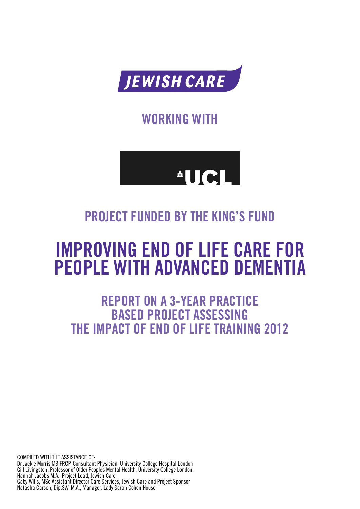

**WORKING WITH** 



## **PROJECT FUNDED BY THE KING'S FUND**

# **IMPROVING END OF LIFE CARE FOR PEOPLE WITH ADVANCED DEMENTIA**

**REPORT ON A 3-YEAR PRACTICE BASED PROJECT ASSESSING THE IMPACT OF END OF LIFE TRAINING 2012**

COMPILED WITH THE ASSISTANCE OF: Dr Jackie Morris MB.FRCP, Consultant Physician, University College Hospital London Gill Livingston, Professor of Older Peoples Mental Health, University College London. Hannah Jacobs M.A., Project Lead, Jewish Care Gaby Wills, MSc Assistant Director Care Services, Jewish Care and Project Sponsor Natasha Carson, Dip.SW, M.A., Manager, Lady Sarah Cohen House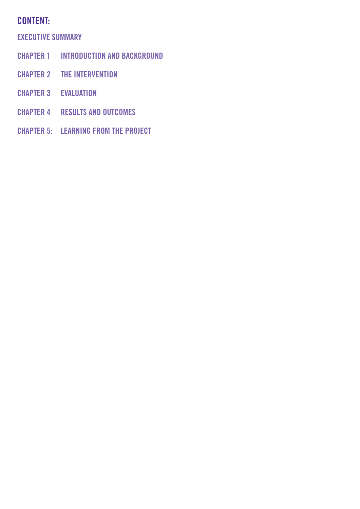## **CONTENT:**

**EXECUTIVE SUMMARY**

- **CHAPTER 1 INTRODUCTION AND BACKGROUND**
- **CHAPTER 2 THE INTERVENTION**
- **CHAPTER 3 EVALUATION**
- **CHAPTER 4 RESULTS AND OUTCOMES**
- **CHAPTER 5: LEARNING FROM THE PROJECT**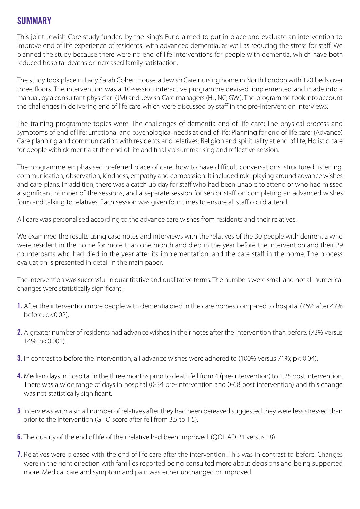## **SUMMARY**

This joint Jewish Care study funded by the King's Fund aimed to put in place and evaluate an intervention to improve end of life experience of residents, with advanced dementia, as well as reducing the stress for staff. We planned the study because there were no end of life interventions for people with dementia, which have both reduced hospital deaths or increased family satisfaction.

The study took place in Lady Sarah Cohen House, a Jewish Care nursing home in North London with 120 beds over three floors. The intervention was a 10-session interactive programme devised, implemented and made into a manual, by a consultant physician (JM) and Jewish Care managers (HJ, NC, GW). The programme took into account the challenges in delivering end of life care which were discussed by staff in the pre-intervention interviews.

The training programme topics were: The challenges of dementia end of life care; The physical process and symptoms of end of life; Emotional and psychological needs at end of life; Planning for end of life care; (Advance) Care planning and communication with residents and relatives; Religion and spirituality at end of life; Holistic care for people with dementia at the end of life and finally a summarising and reflective session.

The programme emphasised preferred place of care, how to have difficult conversations, structured listening, communication, observation, kindness, empathy and compassion. It included role-playing around advance wishes and care plans. In addition, there was a catch up day for staff who had been unable to attend or who had missed a significant number of the sessions, and a separate session for senior staff on completing an advanced wishes form and talking to relatives. Each session was given four times to ensure all staff could attend.

All care was personalised according to the advance care wishes from residents and their relatives.

We examined the results using case notes and interviews with the relatives of the 30 people with dementia who were resident in the home for more than one month and died in the year before the intervention and their 29 counterparts who had died in the year after its implementation; and the care staff in the home. The process evaluation is presented in detail in the main paper.

The intervention was successful in quantitative and qualitative terms. The numbers were small and not all numerical changes were statistically significant.

- **1.** After the intervention more people with dementia died in the care homes compared to hospital (76% after 47% before; p<0.02).
- **2.** A greater number of residents had advance wishes in their notes after the intervention than before. (73% versus 14%; p<0.001).
- **3.** In contrast to before the intervention, all advance wishes were adhered to (100% versus 71%; p< 0.04).
- **4.** Median days in hospital in the three months prior to death fell from 4 (pre-intervention) to 1.25 post intervention. There was a wide range of days in hospital (0-34 pre-intervention and 0-68 post intervention) and this change was not statistically significant.
- **5**. Interviews with a small number of relatives after they had been bereaved suggested they were less stressed than prior to the intervention (GHQ score after fell from 3.5 to 1.5).
- **6.** The quality of the end of life of their relative had been improved. (QOL AD 21 versus 18)
- **7.** Relatives were pleased with the end of life care after the intervention. This was in contrast to before. Changes were in the right direction with families reported being consulted more about decisions and being supported more. Medical care and symptom and pain was either unchanged or improved.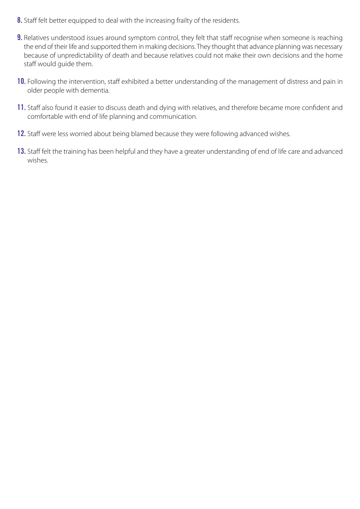- **8.** Staff felt better equipped to deal with the increasing frailty of the residents.
- **9.** Relatives understood issues around symptom control, they felt that staff recognise when someone is reaching the end of their life and supported them in making decisions. They thought that advance planning was necessary because of unpredictability of death and because relatives could not make their own decisions and the home staff would guide them.
- **10.** Following the intervention, staff exhibited a better understanding of the management of distress and pain in older people with dementia.
- **11.** Staff also found it easier to discuss death and dying with relatives, and therefore became more confident and comfortable with end of life planning and communication.
- **12.** Staff were less worried about being blamed because they were following advanced wishes.
- **13.** Staff felt the training has been helpful and they have a greater understanding of end of life care and advanced wishes.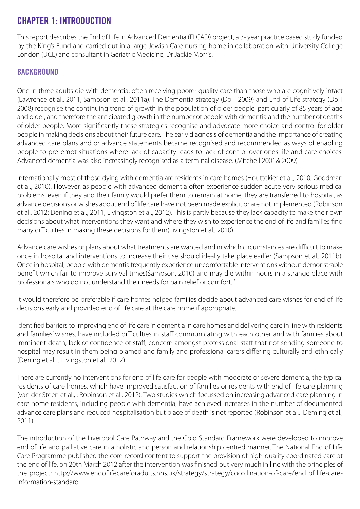## **CHAPTER 1: INTRODUCTION**

This report describes the End of Life in Advanced Dementia (ELCAD) project, a 3- year practice based study funded by the King's Fund and carried out in a large Jewish Care nursing home in collaboration with University College London (UCL) and consultant in Geriatric Medicine, Dr Jackie Morris.

#### **BACKGROUND**

One in three adults die with dementia; often receiving poorer quality care than those who are cognitively intact (Lawrence et al., 2011; Sampson et al., 2011a). The Dementia strategy (DoH 2009) and End of Life strategy (DoH 2008) recognise the continuing trend of growth in the population of older people, particularly of 85 years of age and older, and therefore the anticipated growth in the number of people with dementia and the number of deaths of older people. More significantly these strategies recognise and advocate more choice and control for older people in making decisions about their future care. The early diagnosis of dementia and the importance of creating advanced care plans and or advance statements became recognised and recommended as ways of enabling people to pre-empt situations where lack of capacity leads to lack of control over ones life and care choices. Advanced dementia was also increasingly recognised as a terminal disease. (Mitchell 2001& 2009)

Internationally most of those dying with dementia are residents in care homes (Houttekier et al., 2010; Goodman et al., 2010). However, as people with advanced dementia often experience sudden acute very serious medical problems, even if they and their family would prefer them to remain at home, they are transferred to hospital, as advance decisions or wishes about end of life care have not been made explicit or are not implemented (Robinson et al., 2012; Dening et al., 2011; Livingston et al., 2012). This is partly because they lack capacity to make their own decisions about what interventions they want and where they wish to experience the end of life and families find many difficulties in making these decisions for them(Livingston et al., 2010).

Advance care wishes or plans about what treatments are wanted and in which circumstances are difficult to make once in hospital and interventions to increase their use should ideally take place earlier (Sampson et al., 2011b). Once in hospital, people with dementia frequently experience uncomfortable interventions without demonstrable benefit which fail to improve survival times(Sampson, 2010) and may die within hours in a strange place with professionals who do not understand their needs for pain relief or comfort. '

It would therefore be preferable if care homes helped families decide about advanced care wishes for end of life decisions early and provided end of life care at the care home if appropriate.

Identified barriers to improving end of life care in dementia in care homes and delivering care in line with residents' and families' wishes, have included difficulties in staff communicating with each other and with families about imminent death, lack of confidence of staff, concern amongst professional staff that not sending someone to hospital may result in them being blamed and family and professional carers differing culturally and ethnically (Dening et al., ; Livingston et al., 2012).

There are currently no interventions for end of life care for people with moderate or severe dementia, the typical residents of care homes, which have improved satisfaction of families or residents with end of life care planning (van der Steen et al., ; Robinson et al., 2012). Two studies which focussed on increasing advanced care planning in care home residents, including people with dementia, have achieved increases in the number of documented advance care plans and reduced hospitalisation but place of death is not reported (Robinson et al., Deming et al., 2011).

The introduction of the Liverpool Care Pathway and the Gold Standard Framework were developed to improve end of life and palliative care in a holistic and person and relationship centred manner. The National End of Life Care Programme published the core record content to support the provision of high-quality coordinated care at the end of life, on 20th March 2012 after the intervention was finished but very much in line with the principles of the project: http://www.endoflifecareforadults.nhs.uk/strategy/strategy/coordination-of-care/end of life-careinformation-standard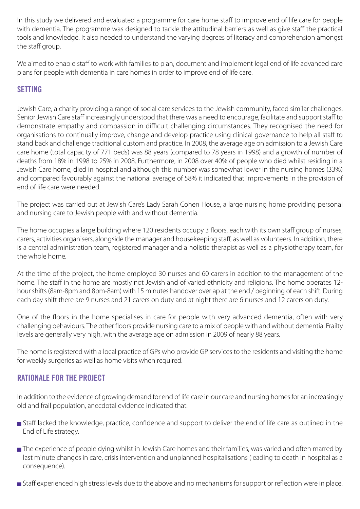In this study we delivered and evaluated a programme for care home staff to improve end of life care for people with dementia. The programme was designed to tackle the attitudinal barriers as well as give staff the practical tools and knowledge. It also needed to understand the varying degrees of literacy and comprehension amongst the staff group.

We aimed to enable staff to work with families to plan, document and implement legal end of life advanced care plans for people with dementia in care homes in order to improve end of life care.

#### **SETTING**

Jewish Care, a charity providing a range of social care services to the Jewish community, faced similar challenges. Senior Jewish Care staff increasingly understood that there was a need to encourage, facilitate and support staff to demonstrate empathy and compassion in difficult challenging circumstances. They recognised the need for organisations to continually improve, change and develop practice using clinical governance to help all staff to stand back and challenge traditional custom and practice. In 2008, the average age on admission to a Jewish Care care home (total capacity of 771 beds) was 88 years (compared to 78 years in 1998) and a growth of number of deaths from 18% in 1998 to 25% in 2008. Furthermore, in 2008 over 40% of people who died whilst residing in a Jewish Care home, died in hospital and although this number was somewhat lower in the nursing homes (33%) and compared favourably against the national average of 58% it indicated that improvements in the provision of end of life care were needed.

The project was carried out at Jewish Care's Lady Sarah Cohen House, a large nursing home providing personal and nursing care to Jewish people with and without dementia.

The home occupies a large building where 120 residents occupy 3 floors, each with its own staff group of nurses, carers, activities organisers, alongside the manager and housekeeping staff, as well as volunteers. In addition, there is a central administration team, registered manager and a holistic therapist as well as a physiotherapy team, for the whole home.

At the time of the project, the home employed 30 nurses and 60 carers in addition to the management of the home. The staff in the home are mostly not Jewish and of varied ethnicity and religions. The home operates 12 hour shifts (8am-8pm and 8pm-8am) with 15 minutes handover overlap at the end / beginning of each shift. During each day shift there are 9 nurses and 21 carers on duty and at night there are 6 nurses and 12 carers on duty.

One of the floors in the home specialises in care for people with very advanced dementia, often with very challenging behaviours. The other floors provide nursing care to a mix of people with and without dementia. Frailty levels are generally very high, with the average age on admission in 2009 of nearly 88 years.

The home is registered with a local practice of GPs who provide GP services to the residents and visiting the home for weekly surgeries as well as home visits when required.

#### **RATIONALE FOR THE PROJECT**

In addition to the evidence of growing demand for end of life care in our care and nursing homes for an increasingly old and frail population, anecdotal evidence indicated that:

- **■** Staff lacked the knowledge, practice, confidence and support to deliver the end of life care as outlined in the End of Life strategy.
- The experience of people dying whilst in Jewish Care homes and their families, was varied and often marred by last minute changes in care, crisis intervention and unplanned hospitalisations (leading to death in hospital as a consequence).
- **■** Staff experienced high stress levels due to the above and no mechanisms for support or reflection were in place.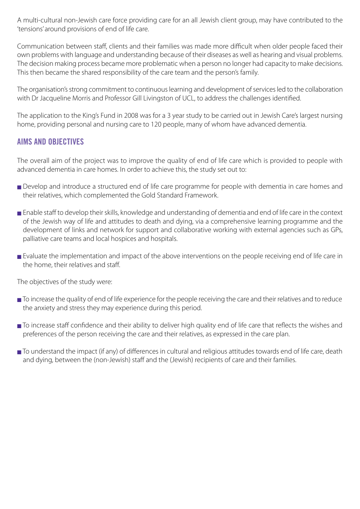A multi-cultural non-Jewish care force providing care for an all Jewish client group, may have contributed to the 'tensions' around provisions of end of life care.

Communication between staff, clients and their families was made more difficult when older people faced their own problems with language and understanding because of their diseases as well as hearing and visual problems. The decision making process became more problematic when a person no longer had capacity to make decisions. This then became the shared responsibility of the care team and the person's family.

The organisation's strong commitment to continuous learning and development of services led to the collaboration with Dr Jacqueline Morris and Professor Gill Livingston of UCL, to address the challenges identified.

The application to the King's Fund in 2008 was for a 3 year study to be carried out in Jewish Care's largest nursing home, providing personal and nursing care to 120 people, many of whom have advanced dementia.

#### **AIMS AND OBJECTIVES**

The overall aim of the project was to improve the quality of end of life care which is provided to people with advanced dementia in care homes. In order to achieve this, the study set out to:

- **■** Develop and introduce a structured end of life care programme for people with dementia in care homes and their relatives, which complemented the Gold Standard Framework.
- **■** Enable staff to develop their skills, knowledge and understanding of dementia and end of life care in the context of the Jewish way of life and attitudes to death and dying, via a comprehensive learning programme and the development of links and network for support and collaborative working with external agencies such as GPs, palliative care teams and local hospices and hospitals.
- Evaluate the implementation and impact of the above interventions on the people receiving end of life care in the home, their relatives and staff.

The objectives of the study were:

- To increase the quality of end of life experience for the people receiving the care and their relatives and to reduce the anxiety and stress they may experience during this period.
- To increase staff confidence and their ability to deliver high quality end of life care that reflects the wishes and preferences of the person receiving the care and their relatives, as expressed in the care plan.
- To understand the impact (if any) of differences in cultural and religious attitudes towards end of life care, death and dying, between the (non-Jewish) staff and the (Jewish) recipients of care and their families.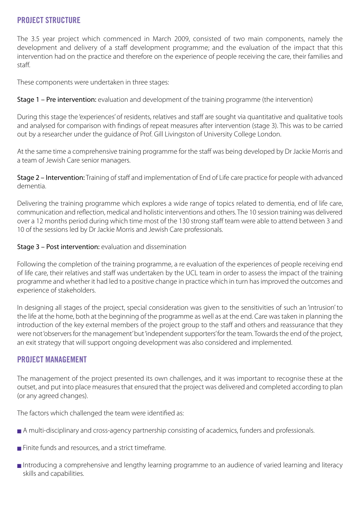#### **PROJECT STRUCTURE**

The 3.5 year project which commenced in March 2009, consisted of two main components, namely the development and delivery of a staff development programme; and the evaluation of the impact that this intervention had on the practice and therefore on the experience of people receiving the care, their families and staff.

These components were undertaken in three stages:

Stage 1 – Pre intervention: evaluation and development of the training programme (the intervention)

During this stage the 'experiences' of residents, relatives and staff are sought via quantitative and qualitative tools and analysed for comparison with findings of repeat measures after intervention (stage 3). This was to be carried out by a researcher under the guidance of Prof. Gill Livingston of University College London.

At the same time a comprehensive training programme for the staff was being developed by Dr Jackie Morris and a team of Jewish Care senior managers.

Stage 2 – Intervention: Training of staff and implementation of End of Life care practice for people with advanced dementia.

Delivering the training programme which explores a wide range of topics related to dementia, end of life care, communication and reflection, medical and holistic interventions and others. The 10 session training was delivered over a 12 months period during which time most of the 130 strong staff team were able to attend between 3 and 10 of the sessions led by Dr Jackie Morris and Jewish Care professionals.

Stage 3 – Post intervention: evaluation and dissemination

Following the completion of the training programme, a re evaluation of the experiences of people receiving end of life care, their relatives and staff was undertaken by the UCL team in order to assess the impact of the training programme and whether it had led to a positive change in practice which in turn has improved the outcomes and experience of stakeholders.

In designing all stages of the project, special consideration was given to the sensitivities of such an 'intrusion' to the life at the home, both at the beginning of the programme as well as at the end. Care was taken in planning the introduction of the key external members of the project group to the staff and others and reassurance that they were not 'observers for the management' but 'independent supporters' for the team. Towards the end of the project, an exit strategy that will support ongoing development was also considered and implemented.

#### **PROJECT MANAGEMENT**

The management of the project presented its own challenges, and it was important to recognise these at the outset, and put into place measures that ensured that the project was delivered and completed according to plan (or any agreed changes).

The factors which challenged the team were identified as:

- A multi-disciplinary and cross-agency partnership consisting of academics, funders and professionals.
- **■** Finite funds and resources, and a strict timeframe.
- **■** Introducing a comprehensive and lengthy learning programme to an audience of varied learning and literacy skills and capabilities.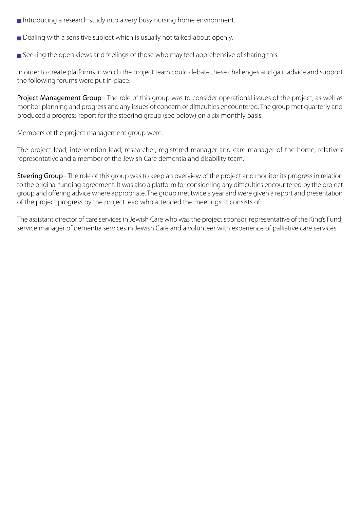- **■** Introducing a research study into a very busy nursing home environment.
- Dealing with a sensitive subject which is usually not talked about openly.
- Seeking the open views and feelings of those who may feel apprehensive of sharing this.

In order to create platforms in which the project team could debate these challenges and gain advice and support the following forums were put in place:

Project Management Group - The role of this group was to consider operational issues of the project, as well as monitor planning and progress and any issues of concern or difficulties encountered. The group met quarterly and produced a progress report for the steering group (see below) on a six monthly basis.

Members of the project management group were:

The project lead, intervention lead, researcher, registered manager and care manager of the home, relatives' representative and a member of the Jewish Care dementia and disability team.

Steering Group - The role of this group was to keep an overview of the project and monitor its progress in relation to the original funding agreement. It was also a platform for considering any difficulties encountered by the project group and offering advice where appropriate. The group met twice a year and were given a report and presentation of the project progress by the project lead who attended the meetings. It consists of:

The assistant director of care services in Jewish Care who was the project sponsor, representative of the King's Fund, service manager of dementia services in Jewish Care and a volunteer with experience of palliative care services.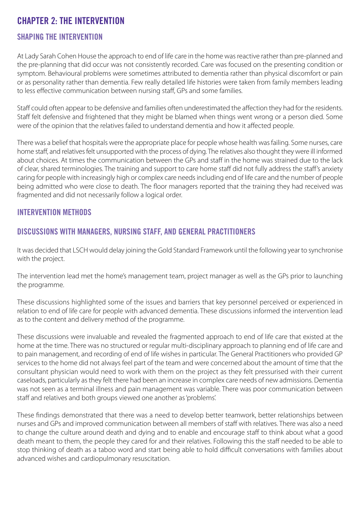## **CHAPTER 2: THE INTERVENTION**

#### **SHAPING THE INTERVENTION**

At Lady Sarah Cohen House the approach to end of life care in the home was reactive rather than pre-planned and the pre-planning that did occur was not consistently recorded. Care was focused on the presenting condition or symptom. Behavioural problems were sometimes attributed to dementia rather than physical discomfort or pain or as personality rather than dementia. Few really detailed life histories were taken from family members leading to less effective communication between nursing staff, GPs and some families.

Staff could often appear to be defensive and families often underestimated the affection they had for the residents. Staff felt defensive and frightened that they might be blamed when things went wrong or a person died. Some were of the opinion that the relatives failed to understand dementia and how it affected people.

There was a belief that hospitals were the appropriate place for people whose health was failing. Some nurses, care home staff, and relatives felt unsupported with the process of dying. The relatives also thought they were ill informed about choices. At times the communication between the GPs and staff in the home was strained due to the lack of clear, shared terminologies. The training and support to care home staff did not fully address the staff's anxiety caring for people with increasingly high or complex care needs including end of life care and the number of people being admitted who were close to death. The floor managers reported that the training they had received was fragmented and did not necessarily follow a logical order.

#### **INTERVENTION METHODS**

#### **DISCUSSIONS WITH MANAGERS, NURSING STAFF, AND GENERAL PRACTITIONERS**

It was decided that LSCH would delay joining the Gold Standard Framework until the following year to synchronise with the project.

The intervention lead met the home's management team, project manager as well as the GPs prior to launching the programme.

These discussions highlighted some of the issues and barriers that key personnel perceived or experienced in relation to end of life care for people with advanced dementia. These discussions informed the intervention lead as to the content and delivery method of the programme.

These discussions were invaluable and revealed the fragmented approach to end of life care that existed at the home at the time. There was no structured or regular multi-disciplinary approach to planning end of life care and to pain management, and recording of end of life wishes in particular. The General Practitioners who provided GP services to the home did not always feel part of the team and were concerned about the amount of time that the consultant physician would need to work with them on the project as they felt pressurised with their current caseloads, particularly as they felt there had been an increase in complex care needs of new admissions. Dementia was not seen as a terminal illness and pain management was variable. There was poor communication between staff and relatives and both groups viewed one another as 'problems'.

These findings demonstrated that there was a need to develop better teamwork, better relationships between nurses and GPs and improved communication between all members of staff with relatives. There was also a need to change the culture around death and dying and to enable and encourage staff to think about what a good death meant to them, the people they cared for and their relatives. Following this the staff needed to be able to stop thinking of death as a taboo word and start being able to hold difficult conversations with families about advanced wishes and cardiopulmonary resuscitation.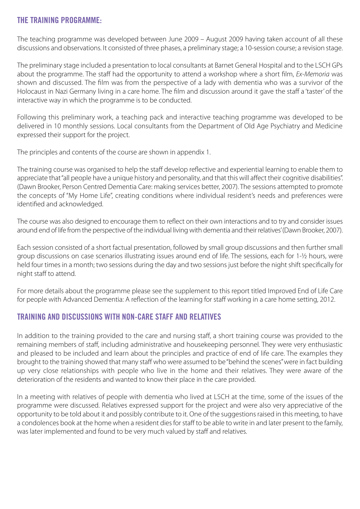#### **THE TRAINING PROGRAMME:**

The teaching programme was developed between June 2009 – August 2009 having taken account of all these discussions and observations. It consisted of three phases, a preliminary stage; a 10-session course; a revision stage.

The preliminary stage included a presentation to local consultants at Barnet General Hospital and to the LSCH GPs about the programme. The staff had the opportunity to attend a workshop where a short film, *Ex-Memoria* was shown and discussed. The film was from the perspective of a lady with dementia who was a survivor of the Holocaust in Nazi Germany living in a care home. The film and discussion around it gave the staff a 'taster' of the interactive way in which the programme is to be conducted.

Following this preliminary work, a teaching pack and interactive teaching programme was developed to be delivered in 10 monthly sessions. Local consultants from the Department of Old Age Psychiatry and Medicine expressed their support for the project.

The principles and contents of the course are shown in appendix 1.

The training course was organised to help the staff develop reflective and experiential learning to enable them to appreciate that "all people have a unique history and personality, and that this will affect their cognitive disabilities". (Dawn Brooker, Person Centred Dementia Care: making services better, 2007). The sessions attempted to promote the concepts of "My Home Life", creating conditions where individual resident's needs and preferences were identified and acknowledged.

The course was also designed to encourage them to reflect on their own interactions and to try and consider issues around end of life from the perspective of the individual living with dementia and their relatives' (Dawn Brooker, 2007).

Each session consisted of a short factual presentation, followed by small group discussions and then further small group discussions on case scenarios illustrating issues around end of life. The sessions, each for 1-½ hours, were held four times in a month; two sessions during the day and two sessions just before the night shift specifically for night staff to attend.

For more details about the programme please see the supplement to this report titled Improved End of Life Care for people with Advanced Dementia: A reflection of the learning for staff working in a care home setting, 2012.

#### **TRAINING AND DISCUSSIONS WITH NON-CARE STAFF AND RELATIVES**

In addition to the training provided to the care and nursing staff, a short training course was provided to the remaining members of staff, including administrative and housekeeping personnel. They were very enthusiastic and pleased to be included and learn about the principles and practice of end of life care. The examples they brought to the training showed that many staff who were assumed to be "behind the scenes" were in fact building up very close relationships with people who live in the home and their relatives. They were aware of the deterioration of the residents and wanted to know their place in the care provided.

In a meeting with relatives of people with dementia who lived at LSCH at the time, some of the issues of the programme were discussed. Relatives expressed support for the project and were also very appreciative of the opportunity to be told about it and possibly contribute to it. One of the suggestions raised in this meeting, to have a condolences book at the home when a resident dies for staff to be able to write in and later present to the family, was later implemented and found to be very much valued by staff and relatives.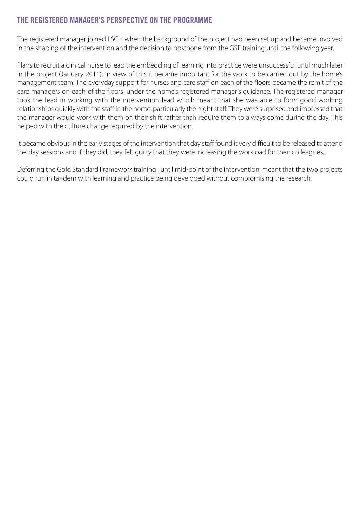#### **THE REGISTERED MANAGER'S PERSPECTIVE ON THE PROGRAMME**

The registered manager joined LSCH when the background of the project had been set up and became involved in the shaping of the intervention and the decision to postpone from the GSF training until the following year.

Plans to recruit a clinical nurse to lead the embedding of learning into practice were unsuccessful until much later in the project (January 2011). In view of this it became important for the work to be carried out by the home's management team. The everyday support for nurses and care staff on each of the floors became the remit of the care managers on each of the floors, under the home's registered manager's guidance. The registered manager took the lead in working with the intervention lead which meant that she was able to form good working relationships quickly with the staff in the home, particularly the night staff. They were surprised and impressed that the manager would work with them on their shift rather than require them to always come during the day. This helped with the culture change required by the intervention.

It became obvious in the early stages of the intervention that day staff found it very difficult to be released to attend the day sessions and if they did, they felt guilty that they were increasing the workload for their colleagues.

Deferring the Gold Standard Framework training , until mid-point of the intervention, meant that the two projects could run in tandem with learning and practice being developed without compromising the research.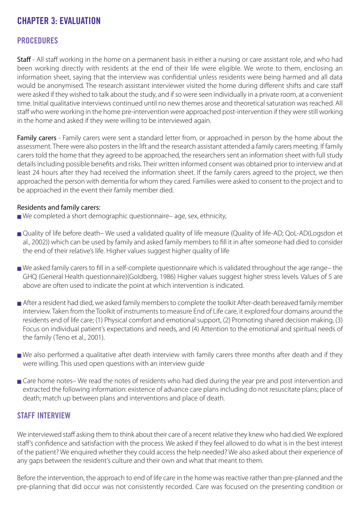## **CHAPTER 3: EVALUATION**

#### **PROCEDURES**

Staff - All staff working in the home on a permanent basis in either a nursing or care assistant role, and who had been working directly with residents at the end of their life were eligible. We wrote to them, enclosing an information sheet, saying that the interview was confidential unless residents were being harmed and all data would be anonymised. The research assistant interviewer visited the home during different shifts and care staff were asked if they wished to talk about the study, and if so were seen individually in a private room, at a convenient time. Initial qualitative interviews continued until no new themes arose and theoretical saturation was reached. All staff who were working in the home pre-intervention were approached post-intervention if they were still working in the home and asked if they were willing to be interviewed again.

Family carers - Family carers were sent a standard letter from, or approached in person by the home about the assessment. There were also posters in the lift and the research assistant attended a family carers meeting. If family carers told the home that they agreed to be approached, the researchers sent an information sheet with full study details including possible benefits and risks. Their written informed consent was obtained prior to interview and at least 24 hours after they had received the information sheet. If the family carers agreed to the project, we then approached the person with dementia for whom they cared. Families were asked to consent to the project and to be approached in the event their family member died.

#### Residents and family carers:

- We completed a short demographic questionnaire– age, sex, ethnicity,
- **■** Quality of life before death– We used a validated quality of life measure (Quality of life-AD; QoL-AD(Logsdon et al., 2002)) which can be used by family and asked family members to fill it in after someone had died to consider the end of their relative's life. Higher values suggest higher quality of life
- **■** We asked family carers to fill in a self-complete questionnaire which is validated throughout the age range– the GHQ (General Health questionnaire)(Goldberg, 1986) Higher values suggest higher stress levels. Values of 5 are above are often used to indicate the point at which intervention is indicated.
- After a resident had died, we asked family members to complete the toolkit After-death bereaved family member interview. Taken from the Toolkit of instruments to measure End of Life care, it explored four domains around the residents end of life care; (1) Physical comfort and emotional support, (2) Promoting shared decision making, (3) Focus on individual patient's expectations and needs, and (4) Attention to the emotional and spiritual needs of the family (Teno et al., 2001).
- We also performed a qualitative after death interview with family carers three months after death and if they were willing. This used open questions with an interview guide
- Care home notes– We read the notes of residents who had died during the year pre and post intervention and extracted the following information: existence of advance care plans including do not resuscitate plans; place of death; match up between plans and interventions and place of death.

#### **STAFF INTERVIEW**

We interviewed staff asking them to think about their care of a recent relative they knew who had died. We explored staff's confidence and satisfaction with the process. We asked if they feel allowed to do what is in the best interest of the patient? We enquired whether they could access the help needed? We also asked about their experience of any gaps between the resident's culture and their own and what that meant to them.

Before the intervention, the approach to end of life care in the home was reactive rather than pre-planned and the pre-planning that did occur was not consistently recorded. Care was focused on the presenting condition or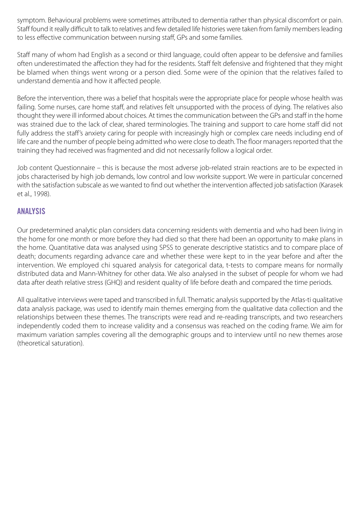symptom. Behavioural problems were sometimes attributed to dementia rather than physical discomfort or pain. Staff found it really difficult to talk to relatives and few detailed life histories were taken from family members leading to less effective communication between nursing staff, GPs and some families.

Staff many of whom had English as a second or third language, could often appear to be defensive and families often underestimated the affection they had for the residents. Staff felt defensive and frightened that they might be blamed when things went wrong or a person died. Some were of the opinion that the relatives failed to understand dementia and how it affected people.

Before the intervention, there was a belief that hospitals were the appropriate place for people whose health was failing. Some nurses, care home staff, and relatives felt unsupported with the process of dying. The relatives also thought they were ill informed about choices. At times the communication between the GPs and staff in the home was strained due to the lack of clear, shared terminologies. The training and support to care home staff did not fully address the staff's anxiety caring for people with increasingly high or complex care needs including end of life care and the number of people being admitted who were close to death. The floor managers reported that the training they had received was fragmented and did not necessarily follow a logical order.

Job content Questionnaire – this is because the most adverse job-related strain reactions are to be expected in jobs characterised by high job demands, low control and low worksite support. We were in particular concerned with the satisfaction subscale as we wanted to find out whether the intervention affected job satisfaction (Karasek et al., 1998).

#### **ANALYSIS**

Our predetermined analytic plan considers data concerning residents with dementia and who had been living in the home for one month or more before they had died so that there had been an opportunity to make plans in the home. Quantitative data was analysed using SPSS to generate descriptive statistics and to compare place of death; documents regarding advance care and whether these were kept to in the year before and after the intervention. We employed chi squared analysis for categorical data, t-tests to compare means for normally distributed data and Mann-Whitney for other data. We also analysed in the subset of people for whom we had data after death relative stress (GHQ) and resident quality of life before death and compared the time periods.

All qualitative interviews were taped and transcribed in full. Thematic analysis supported by the Atlas-ti qualitative data analysis package, was used to identify main themes emerging from the qualitative data collection and the relationships between these themes. The transcripts were read and re-reading transcripts, and two researchers independently coded them to increase validity and a consensus was reached on the coding frame. We aim for maximum variation samples covering all the demographic groups and to interview until no new themes arose (theoretical saturation).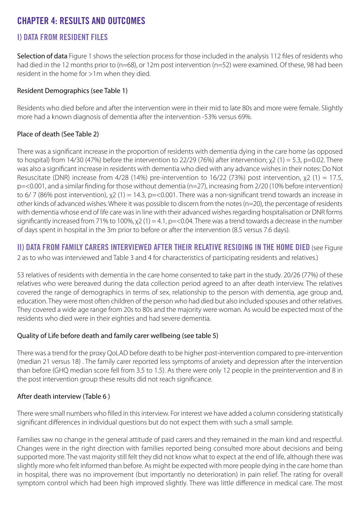## **CHAPTER 4: RESULTS AND OUTCOMES**

#### **I) DATA FROM RESIDENT FILES**

Selection of data Figure 1 shows the selection process for those included in the analysis 112 files of residents who had died in the 12 months prior to (n=68), or 12m post intervention (n=52) were examined. Of these, 98 had been resident in the home for >1m when they died.

#### Resident Demographics (see Table 1)

Residents who died before and after the intervention were in their mid to late 80s and more were female. Slightly more had a known diagnosis of dementia after the intervention -53% versus 69%.

#### Place of death (See Table 2)

There was a significant increase in the proportion of residents with dementia dying in the care home (as opposed to hospital) from 14/30 (47%) before the intervention to 22/29 (76%) after intervention;  $\chi$ 2 (1) = 5.3, p=0.02. There was also a significant increase in residents with dementia who died with any advance wishes in their notes: Do Not Resuscitate (DNR) increase from 4/28 (14%) pre-intervention to 16/22 (73%) post intervention,  $\chi$ 2 (1) = 17.5, p=<0.001, and a similar finding for those without dementia (n=27), increasing from 2/20 (10% before intervention) to 6/7 (86% post intervention),  $x^2$  (1) = 14.3, p=<0.001. There was a non-significant trend towards an increase in other kinds of advanced wishes. Where it was possible to discern from the notes (n=20), the percentage of residents with dementia whose end of life care was in line with their advanced wishes regarding hospitalisation or DNR forms significantly increased from 71% to 100%,  $\chi$ 2 (1) = 4.1, p=<0.04. There was a trend towards a decrease in the number of days spent in hospital in the 3m prior to before or after the intervention (8.5 versus 7.6 days).

**II) DATA FROM FAMILY CARERS INTERVIEWED AFTER THEIR RELATIVE RESIDING IN THE HOME DIED** (see Figure 2 as to who was interviewed and Table 3 and 4 for characteristics of participating residents and relatives.)

53 relatives of residents with dementia in the care home consented to take part in the study. 20/26 (77%) of these relatives who were bereaved during the data collection period agreed to an after death interview. The relatives covered the range of demographics in terms of sex, relationship to the person with dementia, age group and, education. They were most often children of the person who had died but also included spouses and other relatives. They covered a wide age range from 20s to 80s and the majority were woman. As would be expected most of the residents who died were in their eighties and had severe dementia.

#### Quality of Life before death and family carer wellbeing (see table 5)

There was a trend for the proxy QoLAD before death to be higher post-intervention compared to pre-intervention (median 21 versus 18) . The family carer reported less symptoms of anxiety and depression after the intervention than before (GHQ median score fell from 3.5 to 1.5). As there were only 12 people in the preintervention and 8 in the post intervention group these results did not reach significance.

#### After death interview (Table 6 )

There were small numbers who filled in this interview. For interest we have added a column considering statistically significant differences in individual questions but do not expect them with such a small sample.

Families saw no change in the general attitude of paid carers and they remained in the main kind and respectful. Changes were in the right direction with families reported being consulted more about decisions and being supported more. The vast majority still felt they did not know what to expect at the end of life, although there was slightly more who felt informed than before. As might be expected with more people dying in the care home than in hospital, there was no improvement (but importantly no deterioration) in pain relief. The rating for overall symptom control which had been high improved slightly. There was little difference in medical care. The most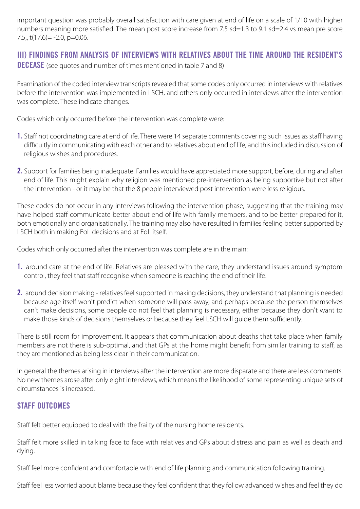important question was probably overall satisfaction with care given at end of life on a scale of 1/10 with higher numbers meaning more satisfied. The mean post score increase from 7.5 sd=1.3 to 9.1 sd=2.4 vs mean pre score  $7.5$ , t(17.6) =  $-2.0$ , p=0.06.

#### **III) FINDINGS FROM ANALYSIS OF INTERVIEWS WITH RELATIVES ABOUT THE TIME AROUND THE RESIDENT'S DECEASE** (see quotes and number of times mentioned in table 7 and 8)

Examination of the coded interview transcripts revealed that some codes only occurred in interviews with relatives before the intervention was implemented in LSCH, and others only occurred in interviews after the intervention was complete. These indicate changes.

Codes which only occurred before the intervention was complete were:

- **1.** Staff not coordinating care at end of life. There were 14 separate comments covering such issues as staff having difficultly in communicating with each other and to relatives about end of life, and this included in discussion of religious wishes and procedures.
- **2.** Support for families being inadequate. Families would have appreciated more support, before, during and after end of life. This might explain why religion was mentioned pre-intervention as being supportive but not after the intervention - or it may be that the 8 people interviewed post intervention were less religious.

These codes do not occur in any interviews following the intervention phase, suggesting that the training may have helped staff communicate better about end of life with family members, and to be better prepared for it, both emotionally and organisationally. The training may also have resulted in families feeling better supported by LSCH both in making EoL decisions and at EoL itself.

Codes which only occurred after the intervention was complete are in the main:

- **1.** around care at the end of life. Relatives are pleased with the care, they understand issues around symptom control, they feel that staff recognise when someone is reaching the end of their life.
- **2.** around decision making relatives feel supported in making decisions, they understand that planning is needed because age itself won't predict when someone will pass away, and perhaps because the person themselves can't make decisions, some people do not feel that planning is necessary, either because they don't want to make those kinds of decisions themselves or because they feel LSCH will guide them sufficiently.

There is still room for improvement. It appears that communication about deaths that take place when family members are not there is sub-optimal, and that GPs at the home might benefit from similar training to staff, as they are mentioned as being less clear in their communication.

In general the themes arising in interviews after the intervention are more disparate and there are less comments. No new themes arose after only eight interviews, which means the likelihood of some representing unique sets of circumstances is increased.

#### **STAFF OUTCOMES**

Staff felt better equipped to deal with the frailty of the nursing home residents.

Staff felt more skilled in talking face to face with relatives and GPs about distress and pain as well as death and dying.

Staff feel more confident and comfortable with end of life planning and communication following training.

Staff feel less worried about blame because they feel confident that they follow advanced wishes and feel they do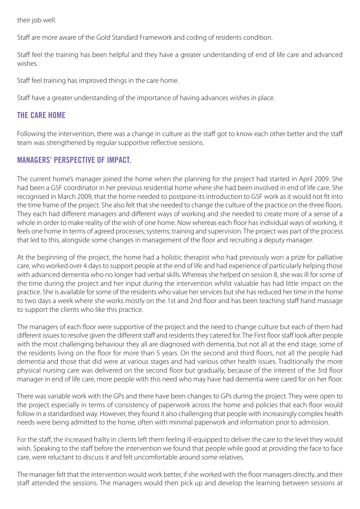their job well.

Staff are more aware of the Gold Standard Framework and coding of residents condition.

Staff feel the training has been helpful and they have a greater understanding of end of life care and advanced wishes.

Staff feel training has improved things in the care home.

Staff have a greater understanding of the importance of having advances wishes in place.

#### **THE CARE HOME**

Following the intervention, there was a change in culture as the staff got to know each other better and the staff team was strengthened by regular supportive reflective sessions.

#### **MANAGERS' PERSPECTIVE OF IMPACT.**

The current home's manager joined the home when the planning for the project had started in April 2009. She had been a GSF coordinator in her previous residential home where she had been involved in end of life care. She recognised in March 2009, that the home needed to postpone its introduction to GSF work as it would not fit into the time frame of the project. She also felt that she needed to change the culture of the practice on the three floors. They each had different managers and different ways of working and she needed to create more of a sense of a whole in order to make reality of the wish of one home. Now whereas each floor has individual ways of working, it feels one home in terms of agreed processes; systems; training and supervision. The project was part of the process that led to this, alongside some changes in management of the floor and recruiting a deputy manager.

At the beginning of the project, the home had a holistic therapist who had previously won a prize for palliative care, who worked over 4 days to support people at the end of life and had experience of particularly helping those with advanced dementia who no longer had verbal skills. Whereas she helped on session 8, she was ill for some of the time during the project and her input during the intervention whilst valuable has had little impact on the practice. She is available for some of the residents who value her services but she has reduced her time in the home to two days a week where she works mostly on the 1st and 2nd floor and has been teaching staff hand massage to support the clients who like this practice.

The managers of each floor were supportive of the project and the need to change culture but each of them had different issues to resolve given the different staff and residents they catered for. The First floor staff look after people with the most challenging behaviour they all are diagnosed with dementia, but not all at the end stage, some of the residents living on the floor for more than 5 years. On the second and third floors, not all the people had dementia and those that did were at various stages and had various other health issues. Traditionally the more physical nursing care was delivered on the second floor but gradually, because of the interest of the 3rd floor manager in end of life care, more people with this need who may have had dementia were cared for on her floor.

There was variable work with the GPs and there have been changes to GPs during the project. They were open to the project especially in terms of consistency of paperwork across the home and policies that each floor would follow in a standardised way. However, they found it also challenging that people with increasingly complex health needs were being admitted to the home, often with minimal paperwork and information prior to admission.

For the staff, the increased frailty in clients left them feeling ill-equipped to deliver the care to the level they would wish. Speaking to the staff before the intervention we found that people while good at providing the face to face care, were reluctant to discuss it and felt uncomfortable around some relatives.

The manager felt that the intervention would work better, if she worked with the floor managers directly, and their staff attended the sessions. The managers would then pick up and develop the learning between sessions at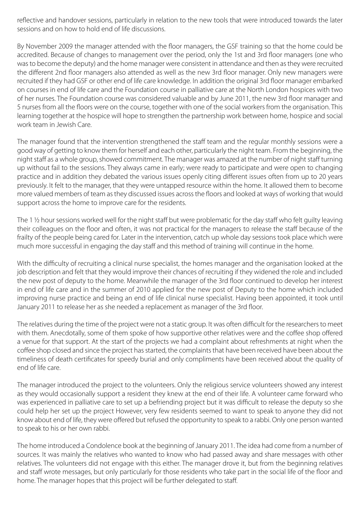reflective and handover sessions, particularly in relation to the new tools that were introduced towards the later sessions and on how to hold end of life discussions.

By November 2009 the manager attended with the floor managers, the GSF training so that the home could be accredited. Because of changes to management over the period, only the 1st and 3rd floor managers (one who was to become the deputy) and the home manager were consistent in attendance and then as they were recruited the different 2nd floor managers also attended as well as the new 3rd floor manager. Only new managers were recruited if they had GSF or other end of life care knowledge. In addition the original 3rd floor manager embarked on courses in end of life care and the Foundation course in palliative care at the North London hospices with two of her nurses. The Foundation course was considered valuable and by June 2011, the new 3rd floor manager and 5 nurses from all the floors were on the course, together with one of the social workers from the organisation. This learning together at the hospice will hope to strengthen the partnership work between home, hospice and social work team in Jewish Care.

The manager found that the intervention strengthened the staff team and the regular monthly sessions were a good way of getting to know them for herself and each other, particularly the night team. From the beginning, the night staff as a whole group, showed commitment. The manager was amazed at the number of night staff turning up without fail to the sessions. They always came in early; were ready to participate and were open to changing practice and in addition they debated the various issues openly citing different issues often from up to 20 years previously. It felt to the manager, that they were untapped resource within the home. It allowed them to become more valued members of team as they discussed issues across the floors and looked at ways of working that would support across the home to improve care for the residents.

The 1 ½ hour sessions worked well for the night staff but were problematic for the day staff who felt guilty leaving their colleagues on the floor and often, it was not practical for the managers to release the staff because of the frailty of the people being cared for. Later in the intervention, catch up whole day sessions took place which were much more successful in engaging the day staff and this method of training will continue in the home.

With the difficulty of recruiting a clinical nurse specialist, the homes manager and the organisation looked at the job description and felt that they would improve their chances of recruiting if they widened the role and included the new post of deputy to the home. Meanwhile the manager of the 3rd floor continued to develop her interest in end of life care and in the summer of 2010 applied for the new post of Deputy to the home which included improving nurse practice and being an end of life clinical nurse specialist. Having been appointed, it took until January 2011 to release her as she needed a replacement as manager of the 3rd floor.

The relatives during the time of the project were not a static group. It was often difficult for the researchers to meet with them. Anecdotally, some of them spoke of how supportive other relatives were and the coffee shop offered a venue for that support. At the start of the projects we had a complaint about refreshments at night when the coffee shop closed and since the project has started, the complaints that have been received have been about the timeliness of death certificates for speedy burial and only compliments have been received about the quality of end of life care.

The manager introduced the project to the volunteers. Only the religious service volunteers showed any interest as they would occasionally support a resident they knew at the end of their life. A volunteer came forward who was experienced in palliative care to set up a befriending project but it was difficult to release the deputy so she could help her set up the project However, very few residents seemed to want to speak to anyone they did not know about end of life, they were offered but refused the opportunity to speak to a rabbi. Only one person wanted to speak to his or her own rabbi.

The home introduced a Condolence book at the beginning of January 2011. The idea had come from a number of sources. It was mainly the relatives who wanted to know who had passed away and share messages with other relatives. The volunteers did not engage with this either. The manager drove it, but from the beginning relatives and staff wrote messages, but only particularly for those residents who take part in the social life of the floor and home. The manager hopes that this project will be further delegated to staff.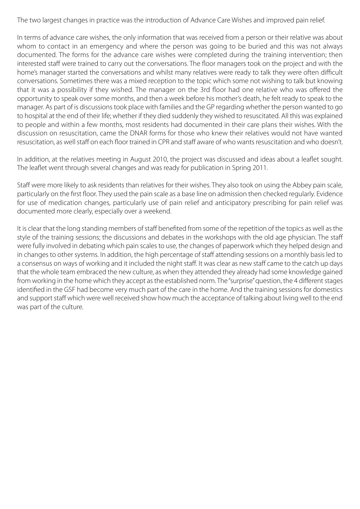The two largest changes in practice was the introduction of Advance Care Wishes and improved pain relief.

In terms of advance care wishes, the only information that was received from a person or their relative was about whom to contact in an emergency and where the person was going to be buried and this was not always documented. The forms for the advance care wishes were completed during the training intervention; then interested staff were trained to carry out the conversations. The floor managers took on the project and with the home's manager started the conversations and whilst many relatives were ready to talk they were often difficult conversations. Sometimes there was a mixed reception to the topic which some not wishing to talk but knowing that it was a possibility if they wished. The manager on the 3rd floor had one relative who was offered the opportunity to speak over some months, and then a week before his mother's death, he felt ready to speak to the manager. As part of is discussions took place with families and the GP regarding whether the person wanted to go to hospital at the end of their life; whether if they died suddenly they wished to resuscitated. All this was explained to people and within a few months, most residents had documented in their care plans their wishes. With the discussion on resuscitation, came the DNAR forms for those who knew their relatives would not have wanted resuscitation, as well staff on each floor trained in CPR and staff aware of who wants resuscitation and who doesn't.

In addition, at the relatives meeting in August 2010, the project was discussed and ideas about a leaflet sought. The leaflet went through several changes and was ready for publication in Spring 2011.

Staff were more likely to ask residents than relatives for their wishes. They also took on using the Abbey pain scale, particularly on the first floor. They used the pain scale as a base line on admission then checked regularly. Evidence for use of medication changes, particularly use of pain relief and anticipatory prescribing for pain relief was documented more clearly, especially over a weekend.

It is clear that the long standing members of staff benefited from some of the repetition of the topics as well as the style of the training sessions; the discussions and debates in the workshops with the old age physician. The staff were fully involved in debating which pain scales to use, the changes of paperwork which they helped design and in changes to other systems. In addition, the high percentage of staff attending sessions on a monthly basis led to a consensus on ways of working and it included the night staff. It was clear as new staff came to the catch up days that the whole team embraced the new culture, as when they attended they already had some knowledge gained from working in the home which they accept as the established norm. The "surprise" question, the 4 different stages identified in the GSF had become very much part of the care in the home. And the training sessions for domestics and support staff which were well received show how much the acceptance of talking about living well to the end was part of the culture.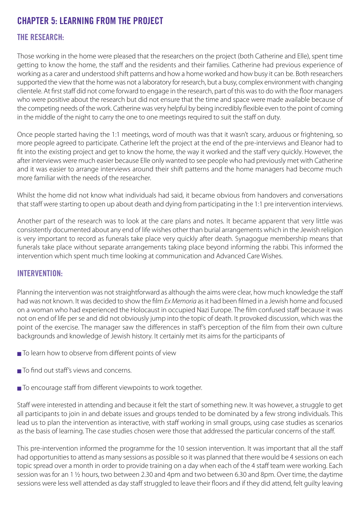## **CHAPTER 5: LEARNING FROM THE PROJECT**

#### **THE RESEARCH:**

Those working in the home were pleased that the researchers on the project (both Catherine and Elle), spent time getting to know the home, the staff and the residents and their families. Catherine had previous experience of working as a carer and understood shift patterns and how a home worked and how busy it can be. Both researchers supported the view that the home was not a laboratory for research, but a busy, complex environment with changing clientele. At first staff did not come forward to engage in the research, part of this was to do with the floor managers who were positive about the research but did not ensure that the time and space were made available because of the competing needs of the work. Catherine was very helpful by being incredibly flexible even to the point of coming in the middle of the night to carry the one to one meetings required to suit the staff on duty.

Once people started having the 1:1 meetings, word of mouth was that it wasn't scary, arduous or frightening, so more people agreed to participate. Catherine left the project at the end of the pre-interviews and Eleanor had to fit into the existing project and get to know the home, the way it worked and the staff very quickly. However, the after interviews were much easier because Elle only wanted to see people who had previously met with Catherine and it was easier to arrange interviews around their shift patterns and the home managers had become much more familiar with the needs of the researcher.

Whilst the home did not know what individuals had said, it became obvious from handovers and conversations that staff were starting to open up about death and dying from participating in the 1:1 pre intervention interviews.

Another part of the research was to look at the care plans and notes. It became apparent that very little was consistently documented about any end of life wishes other than burial arrangements which in the Jewish religion is very important to record as funerals take place very quickly after death. Synagogue membership means that funerals take place without separate arrangements taking place beyond informing the rabbi. This informed the intervention which spent much time looking at communication and Advanced Care Wishes.

#### **INTERVENTION:**

Planning the intervention was not straightforward as although the aims were clear, how much knowledge the staff had was not known. It was decided to show the film *Ex Memoria* as it had been filmed in a Jewish home and focused on a woman who had experienced the Holocaust in occupied Nazi Europe. The film confused staff because it was not on end of life per se and did not obviously jump into the topic of death. It provoked discussion, which was the point of the exercise. The manager saw the differences in staff's perception of the film from their own culture backgrounds and knowledge of Jewish history. It certainly met its aims for the participants of

- To learn how to observe from different points of view
- To find out staff's views and concerns.
- To encourage staff from different viewpoints to work together.

Staff were interested in attending and because it felt the start of something new. It was however, a struggle to get all participants to join in and debate issues and groups tended to be dominated by a few strong individuals. This lead us to plan the intervention as interactive, with staff working in small groups, using case studies as scenarios as the basis of learning. The case studies chosen were those that addressed the particular concerns of the staff.

This pre-intervention informed the programme for the 10 session intervention. It was important that all the staff had opportunities to attend as many sessions as possible so it was planned that there would be 4 sessions on each topic spread over a month in order to provide training on a day when each of the 4 staff team were working. Each session was for an 1 ½ hours, two between 2.30 and 4pm and two between 6.30 and 8pm. Over time, the daytime sessions were less well attended as day staff struggled to leave their floors and if they did attend, felt guilty leaving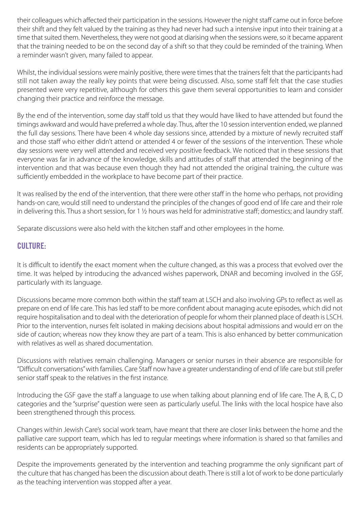their colleagues which affected their participation in the sessions. However the night staff came out in force before their shift and they felt valued by the training as they had never had such a intensive input into their training at a time that suited them. Nevertheless, they were not good at diarising when the sessions were, so it became apparent that the training needed to be on the second day of a shift so that they could be reminded of the training. When a reminder wasn't given, many failed to appear.

Whilst, the individual sessions were mainly positive, there were times that the trainers felt that the participants had still not taken away the really key points that were being discussed. Also, some staff felt that the case studies presented were very repetitive, although for others this gave them several opportunities to learn and consider changing their practice and reinforce the message.

By the end of the intervention, some day staff told us that they would have liked to have attended but found the timings awkward and would have preferred a whole day. Thus, after the 10 session intervention ended, we planned the full day sessions. There have been 4 whole day sessions since, attended by a mixture of newly recruited staff and those staff who either didn't attend or attended 4 or fewer of the sessions of the intervention. These whole day sessions were very well attended and received very positive feedback. We noticed that in these sessions that everyone was far in advance of the knowledge, skills and attitudes of staff that attended the beginning of the intervention and that was because even though they had not attended the original training, the culture was sufficiently embedded in the workplace to have become part of their practice.

It was realised by the end of the intervention, that there were other staff in the home who perhaps, not providing hands-on care, would still need to understand the principles of the changes of good end of life care and their role in delivering this. Thus a short session, for 1 ½ hours was held for administrative staff; domestics; and laundry staff.

Separate discussions were also held with the kitchen staff and other employees in the home.

#### **CULTURE:**

It is difficult to identify the exact moment when the culture changed, as this was a process that evolved over the time. It was helped by introducing the advanced wishes paperwork, DNAR and becoming involved in the GSF, particularly with its language.

Discussions became more common both within the staff team at LSCH and also involving GPs to reflect as well as prepare on end of life care. This has led staff to be more confident about managing acute episodes, which did not require hospitalisation and to deal with the deterioration of people for whom their planned place of death is LSCH. Prior to the intervention, nurses felt isolated in making decisions about hospital admissions and would err on the side of caution; whereas now they know they are part of a team. This is also enhanced by better communication with relatives as well as shared documentation.

Discussions with relatives remain challenging. Managers or senior nurses in their absence are responsible for "Difficult conversations" with families. Care Staff now have a greater understanding of end of life care but still prefer senior staff speak to the relatives in the first instance.

Introducing the GSF gave the staff a language to use when talking about planning end of life care. The A, B, C, D categories and the "surprise" question were seen as particularly useful. The links with the local hospice have also been strengthened through this process.

Changes within Jewish Care's social work team, have meant that there are closer links between the home and the palliative care support team, which has led to regular meetings where information is shared so that families and residents can be appropriately supported.

Despite the improvements generated by the intervention and teaching programme the only significant part of the culture that has changed has been the discussion about death. There is still a lot of work to be done particularly as the teaching intervention was stopped after a year.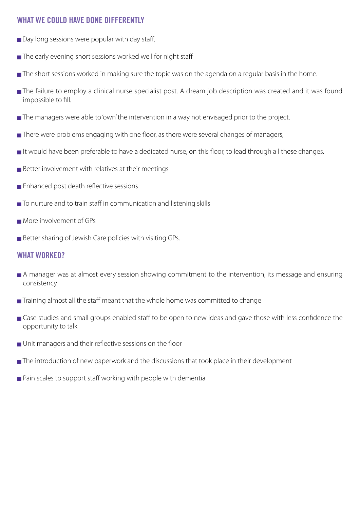#### **WHAT WE COULD HAVE DONE DIFFERENTLY**

- Day long sessions were popular with day staff,
- **■** The early evening short sessions worked well for night staff
- The short sessions worked in making sure the topic was on the agenda on a regular basis in the home.
- **■** The failure to employ a clinical nurse specialist post. A dream job description was created and it was found impossible to fill.
- **■** The managers were able to 'own' the intervention in a way not envisaged prior to the project.
- There were problems engaging with one floor, as there were several changes of managers,
- **■** It would have been preferable to have a dedicated nurse, on this floor, to lead through all these changes.
- **■** Better involvement with relatives at their meetings
- **■** Enhanced post death reflective sessions
- **■** To nurture and to train staff in communication and listening skills
- **■** More involvement of GPs
- Better sharing of Jewish Care policies with visiting GPs.

#### **WHAT WORKED?**

- **■** A manager was at almost every session showing commitment to the intervention, its message and ensuring consistency
- Training almost all the staff meant that the whole home was committed to change
- Case studies and small groups enabled staff to be open to new ideas and gave those with less confidence the opportunity to talk
- **■** Unit managers and their reflective sessions on the floor
- **■** The introduction of new paperwork and the discussions that took place in their development
- Pain scales to support staff working with people with dementia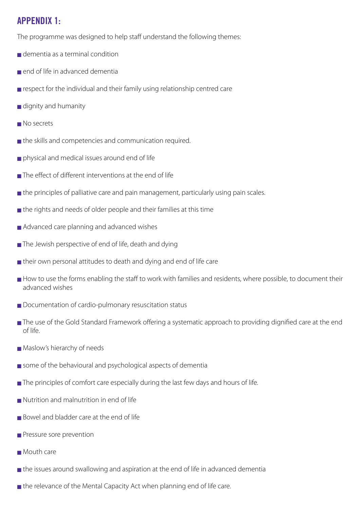## **APPENDIX 1:**

The programme was designed to help staff understand the following themes:

- **■** dementia as a terminal condition
- **■** end of life in advanced dementia
- respect for the individual and their family using relationship centred care
- **■** dignity and humanity
- **■** No secrets
- **■** the skills and competencies and communication required.
- **■** physical and medical issues around end of life
- **■** The effect of different interventions at the end of life
- **■** the principles of palliative care and pain management, particularly using pain scales.
- **■** the rights and needs of older people and their families at this time
- Advanced care planning and advanced wishes
- **■** The Jewish perspective of end of life, death and dying
- **■** their own personal attitudes to death and dying and end of life care
- How to use the forms enabling the staff to work with families and residents, where possible, to document their advanced wishes
- Documentation of cardio-pulmonary resuscitation status
- **■** The use of the Gold Standard Framework offering a systematic approach to providing dignified care at the end of life.
- Maslow's hierarchy of needs
- some of the behavioural and psychological aspects of dementia
- **■** The principles of comfort care especially during the last few days and hours of life.
- **■** Nutrition and malnutrition in end of life
- Bowel and bladder care at the end of life
- Pressure sore prevention
- **■** Mouth care
- **■** the issues around swallowing and aspiration at the end of life in advanced dementia
- **■** the relevance of the Mental Capacity Act when planning end of life care.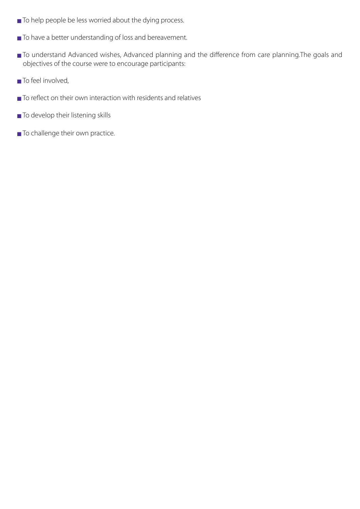- **■** To help people be less worried about the dying process.
- **■** To have a better understanding of loss and bereavement.
- To understand Advanced wishes, Advanced planning and the difference from care planning.The goals and objectives of the course were to encourage participants:
- **■** To feel involved,
- To reflect on their own interaction with residents and relatives
- To develop their listening skills
- To challenge their own practice.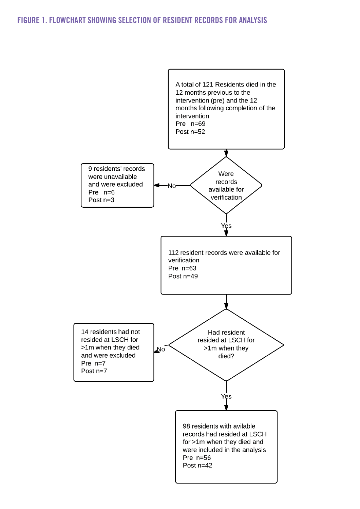#### **FIGURE 1. FLOWCHART SHOWING SELECTION OF RESIDENT RECORDS FOR ANALYSIS**

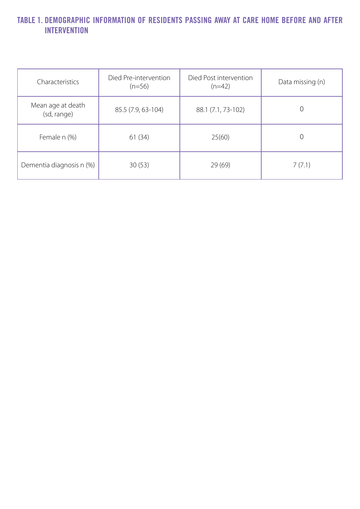## **TABLE 1. DEMOGRAPHIC INFORMATION OF RESIDENTS PASSING AWAY AT CARE HOME BEFORE AND AFTER INTERVENTION**

| Characteristics                  | Died Pre-intervention<br>$(n=56)$ | Died Post intervention<br>$(n=42)$ | Data missing (n) |
|----------------------------------|-----------------------------------|------------------------------------|------------------|
| Mean age at death<br>(sd, range) | 85.5 (7.9, 63-104)                | 88.1 (7.1, 73-102)                 |                  |
| Female n (%)                     | 61(34)                            | 25(60)                             |                  |
| Dementia diagnosis n (%)         | 30(53)                            | 29(69)                             | 7(7.1)           |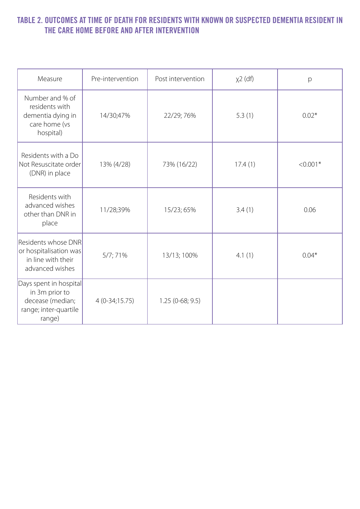#### **TABLE 2. OUTCOMES AT TIME OF DEATH FOR RESIDENTS WITH KNOWN OR SUSPECTED DEMENTIA RESIDENT IN THE CARE HOME BEFORE AND AFTER INTERVENTION**

| Measure                                                                                         | Pre-intervention | Post intervention | $x^2$ (df) | p          |
|-------------------------------------------------------------------------------------------------|------------------|-------------------|------------|------------|
| Number and % of<br>residents with<br>dementia dying in<br>care home (vs<br>hospital)            | 14/30;47%        | 22/29; 76%        | 5.3(1)     | $0.02*$    |
| Residents with a Do<br>Not Resuscitate order<br>(DNR) in place                                  | 13% (4/28)       | 73% (16/22)       | 17.4(1)    | $< 0.001*$ |
| Residents with<br>advanced wishes<br>other than DNR in<br>place                                 | 11/28;39%        | 15/23; 65%        | 3.4(1)     | 0.06       |
| Residents whose DNR<br>or hospitalisation was<br>in line with their<br>advanced wishes          | 5/7; 71%         | 13/13; 100%       | 4.1(1)     | $0.04*$    |
| Days spent in hospital<br>in 3m prior to<br>decease (median;<br>range; inter-quartile<br>range) | $4(0-34;15.75)$  | $1.25(0-68; 9.5)$ |            |            |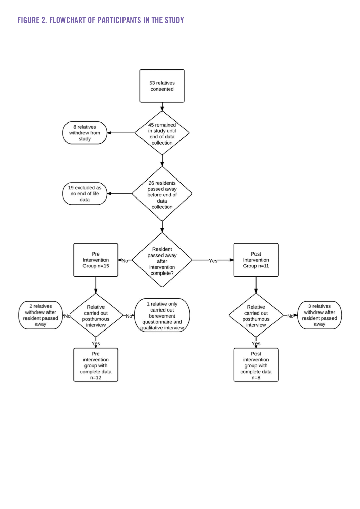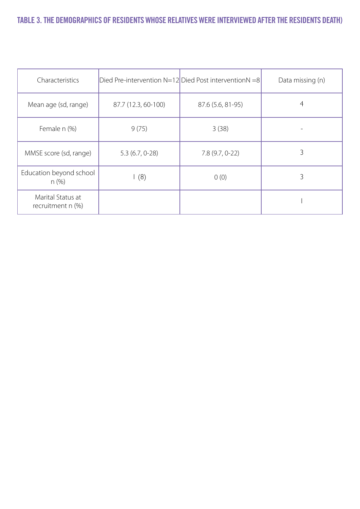## **TABLE 3. THE DEMOGRAPHICS OF RESIDENTS WHOSE RELATIVES WERE INTERVIEWED AFTER THE RESIDENTS DEATH)**

| Characteristics                          |                     | Died Pre-intervention N=12 Died Post interventionN =8 | Data missing (n) |
|------------------------------------------|---------------------|-------------------------------------------------------|------------------|
| Mean age (sd, range)                     | 87.7 (12.3, 60-100) | 87.6 (5.6, 81-95)                                     |                  |
| Female n (%)                             | 9(75)               | 3(38)                                                 |                  |
| MMSE score (sd, range)                   | $5.3(6.7, 0-28)$    | $7.8(9.7, 0-22)$                                      |                  |
| Education beyond school<br>n(%)          | (8)                 | 0(0)                                                  | 3                |
| Marital Status at<br>recruitment $n$ (%) |                     |                                                       |                  |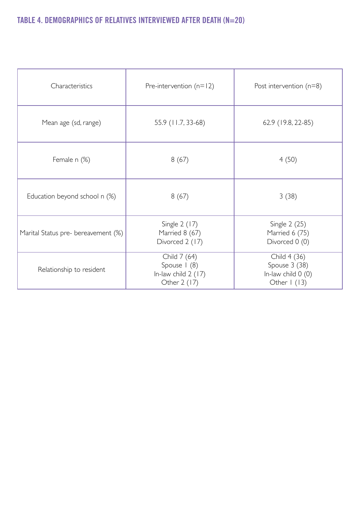## **TABLE 4. DEMOGRAPHICS OF RELATIVES INTERVIEWED AFTER DEATH (N=20)**

| Characteristics                     | Pre-intervention $(n=12)$                                            | Post intervention $(n=8)$                                                 |
|-------------------------------------|----------------------------------------------------------------------|---------------------------------------------------------------------------|
| Mean age (sd, range)                | 55.9 (11.7, 33-68)                                                   | 62.9 (19.8, 22-85)                                                        |
| Female n (%)                        | 8(67)                                                                | 4(50)                                                                     |
| Education beyond school n (%)       | 8(67)                                                                | 3(38)                                                                     |
| Marital Status pre- bereavement (%) | Single 2 (17)<br>Married 8 (67)<br>Divorced 2 (17)                   | Single 2 (25)<br>Married 6 (75)<br>Divorced 0 (0)                         |
| Relationship to resident            | Child 7 (64)<br>Spouse   (8)<br>In-law child $2(17)$<br>Other 2 (17) | Child 4 (36)<br>Spouse 3 (38)<br>In-law child 0 (0)<br>Other $\vert$ (13) |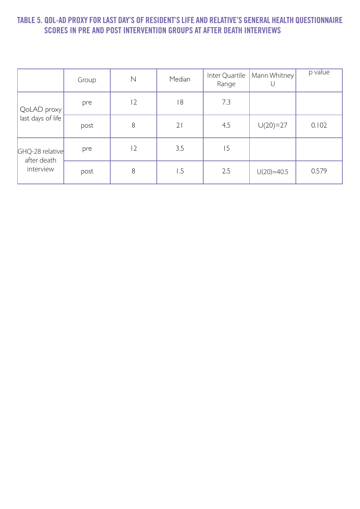#### **TABLE 5. QOL-AD PROXY FOR LAST DAY'S OF RESIDENT'S LIFE AND RELATIVE'S GENERAL HEALTH QUESTIONNAIRE SCORES IN PRE AND POST INTERVENTION GROUPS AT AFTER DEATH INTERVIEWS**

|                          | Group | $\mathbb N$ | Median          | Inter Quartile<br>Range | Mann Whitney | p value |
|--------------------------|-------|-------------|-----------------|-------------------------|--------------|---------|
| QoLAD proxy              | pre   | 12          | 18              | 7.3                     |              |         |
| last days of life        | post  | 8           | 21              | 4.5                     | $U(20)=27$   | 0.102   |
| GHQ-28 relative          | pre   | 12          | 3.5             | 15                      |              |         |
| after death<br>interview | post  | 8           | $\overline{.5}$ | 2.5                     | $U(20)=40.5$ | 0.579   |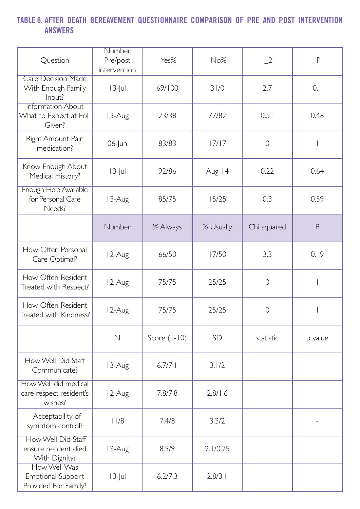## **TABLE 6. AFTER DEATH BEREAVEMENT QUESTIONNAIRE COMPARISON OF PRE AND POST INTERVENTION ANSWERS**

| Question                                                         | <b>Number</b><br>Pre/post<br>intervention | Yes%           | No%       | $\sqrt{2}$     | $\mathsf{P}$ |
|------------------------------------------------------------------|-------------------------------------------|----------------|-----------|----------------|--------------|
| <b>Care Decision Made</b><br>With Enough Family<br>Input?        | $13$ -Jul                                 | 69/100         | 31/0      | 2.7            | 0.1          |
| <b>Information About</b><br>What to Expect at EoL<br>Given?      | 13-Aug                                    | 23/38          | 77/82     | 0.51           | 0.48         |
| Right Amount Pain<br>medication?                                 | $06$ -Jun                                 | 83/83          | 17/17     | $\overline{O}$ |              |
| Know Enough About<br>Medical History?                            | $13$ -Jul                                 | 92/86          | Aug-14    | 0.22           | 0.64         |
| <b>Enough Help Available</b><br>for Personal Care<br>Needs?      | 13-Aug                                    | 85/75          | 15/25     | 0.3            | 0.59         |
|                                                                  | Number                                    | % Always       | % Usually | Chi squared    | P            |
| How Often Personal<br>Care Optimal?                              | 12-Aug                                    | 66/50          | 17/50     | 3.3            | 0.19         |
| How Often Resident<br>Treated with Respect?                      | 12-Aug                                    | 75/75          | 25/25     | $\overline{0}$ |              |
| How Often Resident<br>Treated with Kindness?                     | 12-Aug                                    | 75/75          | 25/25     | $\overline{O}$ |              |
|                                                                  | $\mathbb N$                               | Score $(1-10)$ | <b>SD</b> | statistic      | p value      |
| How Well Did Staff<br>Communicate?                               | 13-Aug                                    | 6.7/7.1        | 3.1/2     |                |              |
| How Well did medical<br>care respect resident's<br>wishes?       | 12-Aug                                    | 7.8/7.8        | 2.8/1.6   |                |              |
| - Acceptability of<br>symptom control?                           | 11/8                                      | 7.4/8          | 3.3/2     |                |              |
| How Well Did Staff<br>ensure resident died<br>With Dignity?      | 13-Aug                                    | 8.5/9          | 2.1/0.75  |                |              |
| How Well Was<br><b>Emotional Support</b><br>Provided For Family? | $13$ -Jul                                 | 6.2/7.3        | 2.8/3.1   |                |              |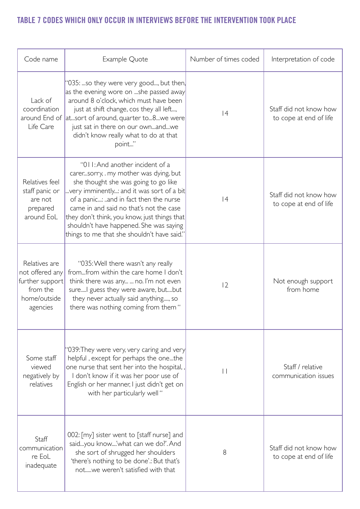## **TABLE 7 CODES WHICH ONLY OCCUR IN INTERVIEWS BEFORE THE INTERVENTION TOOK PLACE**

| Code name                                                                                   | Example Quote                                                                                                                                                                                                                                                                                                                                                                               | Number of times coded | Interpretation of code                           |
|---------------------------------------------------------------------------------------------|---------------------------------------------------------------------------------------------------------------------------------------------------------------------------------------------------------------------------------------------------------------------------------------------------------------------------------------------------------------------------------------------|-----------------------|--------------------------------------------------|
| Lack of<br>coordination<br>Life Care                                                        | "035: so they were very good, but then,<br>as the evening wore on she passed away<br>around 8 o'clock, which must have been<br>just at shift change, cos they all left,<br>around End of  atsort of around, quarter to8we were <br>just sat in there on our ownandwe<br>didn't know really what to do at that<br>point"                                                                     | 4                     | Staff did not know how<br>to cope at end of life |
| Relatives feel<br>staff panic or<br>are not<br>prepared<br>around EoL                       | "011: And another incident of a<br>carersorry, my mother was dying, but<br>she thought she was going to go like<br>very imminently: and it was sort of a bit<br>of a panic: and in fact then the nurse<br>came in and said no that's not the case<br>they don't think, you know, just things that<br>shouldn't have happened. She was saying<br>things to me that she shouldn't have said." | 4                     | Staff did not know how<br>to cope at end of life |
| Relatives are<br>not offered any<br>further support<br>from the<br>home/outside<br>agencies | "035: Well there wasn't any really<br>fromfrom within the care home I don't<br>think there was any  no. I'm not even<br>sure I guess they were aware, butbut<br>they never actually said anything, so<br>there was nothing coming from them"                                                                                                                                                | 2                     | Not enough support<br>from home                  |
| Some staff<br>viewed<br>negatively by<br>relatives                                          | '039: They were very, very caring and very<br>helpful, except for perhaps the onethe<br>one nurse that sent her into the hospital,,<br>I don't know if it was her poor use of<br>English or her manner, I just didn't get on<br>with her particularly well "                                                                                                                                | $\vert \vert$         | Staff / relative<br>communication issues         |
| Staff<br>communication<br>re EoL<br>inadequate                                              | 002: [my] sister went to [staff nurse] and<br>saidyou know'what can we do?'. And<br>she sort of shrugged her shoulders<br>'there's nothing to be done'.: But that's<br>notwe weren't satisfied with that                                                                                                                                                                                    | 8                     | Staff did not know how<br>to cope at end of life |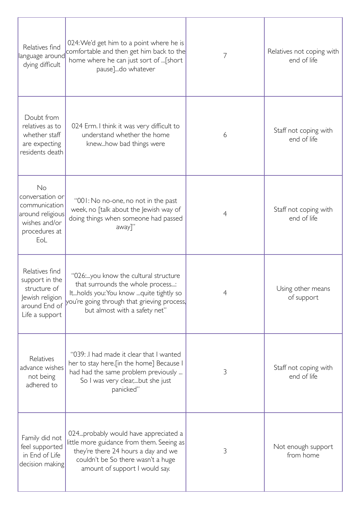| Relatives find<br>language around<br>dying difficult                                                   | 024: We'd get him to a point where he is<br>comfortable and then get him back to the<br>home where he can just sort of  [short<br>pause]do whatever                                                 | 7 | Relatives not coping with<br>end of life |
|--------------------------------------------------------------------------------------------------------|-----------------------------------------------------------------------------------------------------------------------------------------------------------------------------------------------------|---|------------------------------------------|
| Doubt from<br>relatives as to<br>whether staff<br>are expecting<br>residents death                     | 024 Erm. I think it was very difficult to<br>understand whether the home<br>knewhow bad things were                                                                                                 | 6 | Staff not coping with<br>end of life     |
| No<br>conversation or<br>communication<br>around religious<br>wishes and/or<br>procedures at<br>EoL    | "001: No no-one, no not in the past<br>week, no [talk about the Jewish way of<br>doing things when someone had passed<br>away]"                                                                     | 4 | Staff not coping with<br>end of life     |
| Relatives find<br>support in the<br>structure of<br>Jewish religion<br>around End of<br>Life a support | "026:you know the cultural structure<br>that surrounds the whole process:<br>Itholds you: You know quite tightly so<br>you're going through that grieving process,<br>but almost with a safety net" | 4 | Using other means<br>of support          |
| Relatives<br>advance wishes<br>not being<br>adhered to                                                 | "039: I had made it clear that I wanted<br>her to stay here. [in the home] Because I<br>had had the same problem previously<br>So I was very clear,but she just<br>panicked"                        | 3 | Staff not coping with<br>end of life     |
| Family did not<br>feel supported<br>in End of Life<br>decision making                                  | 024. probably would have appreciated a<br>little more guidance from them. Seeing as<br>they're there 24 hours a day and we<br>couldn't be So there wasn't a huge<br>amount of support I would say.  | 3 | Not enough support<br>from home          |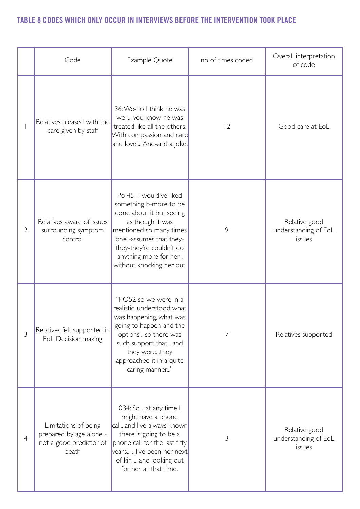## **TABLE 8 CODES WHICH ONLY OCCUR IN INTERVIEWS BEFORE THE INTERVENTION TOOK PLACE**

|                | Code                                                                                | Example Quote                                                                                                                                                                                                                               | no of times coded | Overall interpretation<br>of code               |
|----------------|-------------------------------------------------------------------------------------|---------------------------------------------------------------------------------------------------------------------------------------------------------------------------------------------------------------------------------------------|-------------------|-------------------------------------------------|
|                | Relatives pleased with the<br>care given by staff                                   | 36: We-no I think he was<br>well you know he was<br>treated like all the others.<br>With compassion and care<br>and love: And-and a joke.                                                                                                   | 12                | Good care at EoL                                |
| $\overline{2}$ | Relatives aware of issues<br>surrounding symptom<br>control                         | Po 45 -I would've liked<br>something b-more to be<br>done about it but seeing<br>as though it was<br>mentioned so many times<br>one -assumes that they-<br>they-they're couldn't do<br>anything more for her-:<br>without knocking her out. | 9                 | Relative good<br>understanding of EoL<br>issues |
| 3              | Relatives felt supported in<br>EoL Decision making                                  | "PO52 so we were in a<br>realistic, understood what<br>was happening, what was<br>going to happen and the<br>options so there was<br>such support that and<br>they werethey<br>approached it in a quite<br>caring manner"                   | 7                 | Relatives supported                             |
| $\overline{4}$ | Limitations of being<br>prepared by age alone -<br>not a good predictor of<br>death | 034: So at any time I<br>might have a phone<br>calland I've always known<br>there is going to be a<br>phone call for the last fifty<br>years  l've been her next<br>of kin  and looking out<br>for her all that time.                       | 3                 | Relative good<br>understanding of EoL<br>issues |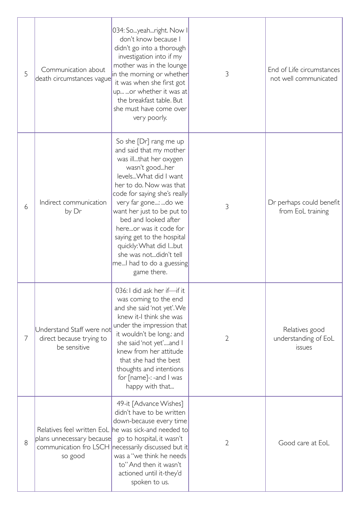| 5 | Communication about<br>death circumstances vague                      | 034: Soyeahright. Now I<br>don't know because I<br>didn't go into a thorough<br>investigation into if my<br>mother was in the lounge<br>in the morning or whether<br>it was when she first got<br>up or whether it was at<br>the breakfast table. But<br>she must have come over<br>very poorly.                                                                                                                        | 3 | End of Life circumstances<br>not well communicated |
|---|-----------------------------------------------------------------------|-------------------------------------------------------------------------------------------------------------------------------------------------------------------------------------------------------------------------------------------------------------------------------------------------------------------------------------------------------------------------------------------------------------------------|---|----------------------------------------------------|
| 6 | Indirect communication<br>by Dr                                       | So she [Dr] rang me up<br>and said that my mother<br>was illthat her oxygen<br>wasn't goodher<br>levels What did I want<br>her to do. Now was that<br>code for saying she's really<br>very far gone: do we<br>want her just to be put to<br>bed and looked after<br>hereor was it code for<br>saying get to the hospital<br>quickly: What did Ibut<br>she was notdidn't tell<br>meI had to do a guessing<br>game there. | 3 | Dr perhaps could benefit<br>from EoL training      |
| 7 | Understand Staff were not<br>direct because trying to<br>be sensitive | 036: I did ask her if-if it<br>was coming to the end<br>and she said 'not yet'. We<br>knew it-I think she was<br>under the impression that<br>it wouldn't be long.: and<br>she said 'not yet'and I<br>knew from her attitude<br>that she had the best<br>thoughts and intentions<br>for $[name]$ -: -and $\mathsf{I}$ was<br>happy with that                                                                            | 2 | Relatives good<br>understanding of EoL<br>issues   |
| 8 | plans unnecessary because<br>so good                                  | 49-it [Advance Wishes]<br>didn't have to be written<br>down-because every time<br>Relatives feel written EoL he was sick-and needed to<br>go to hospital, it wasn't<br>communication fro LSCH necessarily discussed but it<br>was a "we think he needs<br>to" And then it wasn't<br>actioned until it-they'd<br>spoken to us.                                                                                           | 2 | Good care at EoL                                   |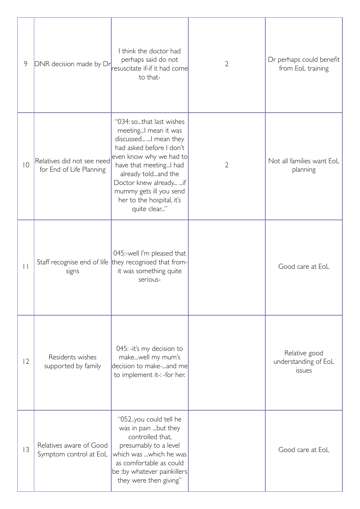| 9               | DNR decision made by Dr                                | I think the doctor had<br>perhaps said do not<br>resuscitate if-if it had come<br>to that-                                                                                                                                                                                              | $\overline{2}$ | Dr perhaps could benefit<br>from EoL training   |
|-----------------|--------------------------------------------------------|-----------------------------------------------------------------------------------------------------------------------------------------------------------------------------------------------------------------------------------------------------------------------------------------|----------------|-------------------------------------------------|
| $ 0\rangle$     | Relatives did not see need<br>for End of Life Planning | "034: sothat last wishes<br>meeting I mean it was<br>discussed  I mean they<br>had asked before I don't<br>even know why we had to<br>have that meeting I had<br>already toldand the<br>Doctor knew already  if<br>mummy gets ill you send<br>her to the hospital, it's<br>quite clear" | $\overline{2}$ | Not all families want EoL<br>planning           |
| $\vert \ \vert$ | signs                                                  | 045:-well I'm pleased that<br>Staff recognise end of life they recognised that from-<br>it was something quite<br>serious-                                                                                                                                                              |                | Good care at EoL                                |
| 2               | Residents wishes<br>supported by family                | 045: - it's my decision to<br>makewell my mum's<br>decision to make-and me<br>to implement it-: -for her.                                                                                                                                                                               |                | Relative good<br>understanding of EoL<br>issues |
| 3               | Relatives aware of Good<br>Symptom control at EoL      | "052.you could tell he<br>was in pain but they<br>controlled that,<br>presumably to a level<br>which was which he was<br>as comfortable as could<br>be :by whatever painkillers<br>they were then giving"                                                                               |                | Good care at EoL                                |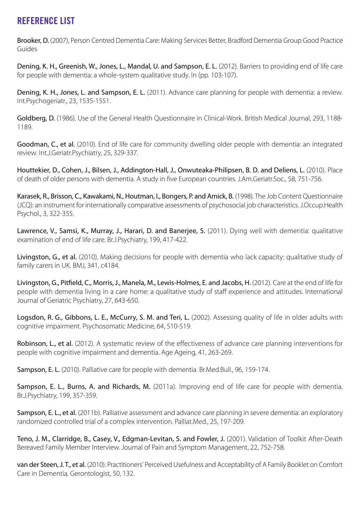## **REFERENCE LIST**

Brooker, D. (2007), Person Centred Dementia Care: Making Services Better, Bradford Dementia Group Good Practice Guides

Dening, K. H., Greenish, W., Jones, L., Mandal, U. and Sampson, E. L. (2012). Barriers to providing end of life care for people with dementia: a whole-system qualitative study. In (pp. 103-107).

Dening, K. H., Jones, L. and Sampson, E. L. (2011). Advance care planning for people with dementia: a review. Int.Psychogeriatr., 23, 1535-1551.

Goldberg, D. (1986). Use of the General Health Questionnaire in Clinical-Work. British Medical Journal, 293, 1188- 1189.

Goodman, C., et al. (2010). End of life care for community dwelling older people with dementia: an integrated review. Int.J.Geriatr.Psychiatry, 25, 329-337.

Houttekier, D., Cohen, J., Bilsen, J., Addington-Hall, J., Onwuteaka-Philipsen, B. D. and Deliens, L. (2010). Place of death of older persons with dementia. A study in five European countries. J.Am.Geriatr.Soc., 58, 751-756.

Karasek, R., Brisson, C., Kawakami, N., Houtman, I., Bongers, P. and Amick, B. (1998). The Job Content Questionnaire (JCQ): an instrument for internationally comparative assessments of psychosocial job characteristics. J.Occup.Health Psychol., 3, 322-355.

Lawrence, V., Samsi, K., Murray, J., Harari, D. and Banerjee, S. (2011). Dying well with dementia: qualitative examination of end of life care. Br.J.Psychiatry, 199, 417-422.

Livingston, G., et al. (2010). Making decisions for people with dementia who lack capacity: qualitative study of family carers in UK. BMJ, 341, c4184.

Livingston, G., Pitfield, C., Morris, J., Manela, M., Lewis-Holmes, E. and Jacobs, H. (2012). Care at the end of life for people with dementia living in a care home: a qualitative study of staff experience and attitudes. International Journal of Geriatric Psychiatry, 27, 643-650.

Logsdon, R. G., Gibbons, L. E., McCurry, S. M. and Teri, L. (2002). Assessing quality of life in older adults with cognitive impairment. Psychosomatic Medicine, 64, 510-519.

Robinson, L., et al. (2012). A systematic review of the effectiveness of advance care planning interventions for people with cognitive impairment and dementia. Age Ageing, 41, 263-269.

Sampson, E. L. (2010). Palliative care for people with dementia. Br.Med.Bull., 96, 159-174.

Sampson, E. L., Burns, A. and Richards, M. (2011a). Improving end of life care for people with dementia. Br.J.Psychiatry, 199, 357-359.

Sampson, E. L., et al. (2011b). Palliative assessment and advance care planning in severe dementia: an exploratory randomized controlled trial of a complex intervention. Palliat.Med., 25, 197-209.

Teno, J. M., Clarridge, B., Casey, V., Edgman-Levitan, S. and Fowler, J. (2001). Validation of Toolkit After-Death Bereaved Family Member Interview. Journal of Pain and Symptom Management, 22, 752-758.

van der Steen, J. T., et al. (2010). Practitioners' Perceived Usefulness and Acceptability of A Family Booklet on Comfort Care in Dementia. Gerontologist, 50, 132.